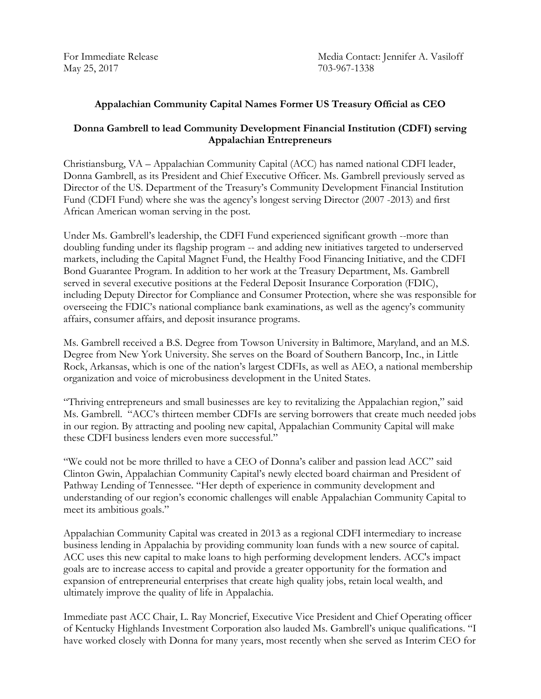May 25, 2017 703-967-1338

For Immediate Release Media Contact: Jennifer A. Vasiloff

## **Appalachian Community Capital Names Former US Treasury Official as CEO**

## **Donna Gambrell to lead Community Development Financial Institution (CDFI) serving Appalachian Entrepreneurs**

Christiansburg, VA – Appalachian Community Capital (ACC) has named national CDFI leader, Donna Gambrell, as its President and Chief Executive Officer. Ms. Gambrell previously served as Director of the US. Department of the Treasury's Community Development Financial Institution Fund (CDFI Fund) where she was the agency's longest serving Director (2007 -2013) and first African American woman serving in the post.

Under Ms. Gambrell's leadership, the CDFI Fund experienced significant growth --more than doubling funding under its flagship program -- and adding new initiatives targeted to underserved markets, including the Capital Magnet Fund, the Healthy Food Financing Initiative, and the CDFI Bond Guarantee Program. In addition to her work at the Treasury Department, Ms. Gambrell served in several executive positions at the Federal Deposit Insurance Corporation (FDIC), including Deputy Director for Compliance and Consumer Protection, where she was responsible for overseeing the FDIC's national compliance bank examinations, as well as the agency's community affairs, consumer affairs, and deposit insurance programs.

Ms. Gambrell received a B.S. Degree from Towson University in Baltimore, Maryland, and an M.S. Degree from New York University. She serves on the Board of Southern Bancorp, Inc., in Little Rock, Arkansas, which is one of the nation's largest CDFIs, as well as AEO, a national membership organization and voice of microbusiness development in the United States.

"Thriving entrepreneurs and small businesses are key to revitalizing the Appalachian region," said Ms. Gambrell. "ACC's thirteen member CDFIs are serving borrowers that create much needed jobs in our region. By attracting and pooling new capital, Appalachian Community Capital will make these CDFI business lenders even more successful."

"We could not be more thrilled to have a CEO of Donna's caliber and passion lead ACC" said Clinton Gwin, Appalachian Community Capital's newly elected board chairman and President of Pathway Lending of Tennessee. "Her depth of experience in community development and understanding of our region's economic challenges will enable Appalachian Community Capital to meet its ambitious goals."

Appalachian Community Capital was created in 2013 as a regional CDFI intermediary to increase business lending in Appalachia by providing community loan funds with a new source of capital. ACC uses this new capital to make loans to high performing development lenders. ACC's impact goals are to increase access to capital and provide a greater opportunity for the formation and expansion of entrepreneurial enterprises that create high quality jobs, retain local wealth, and ultimately improve the quality of life in Appalachia.

Immediate past ACC Chair, L. Ray Moncrief, Executive Vice President and Chief Operating officer of Kentucky Highlands Investment Corporation also lauded Ms. Gambrell's unique qualifications. "I have worked closely with Donna for many years, most recently when she served as Interim CEO for